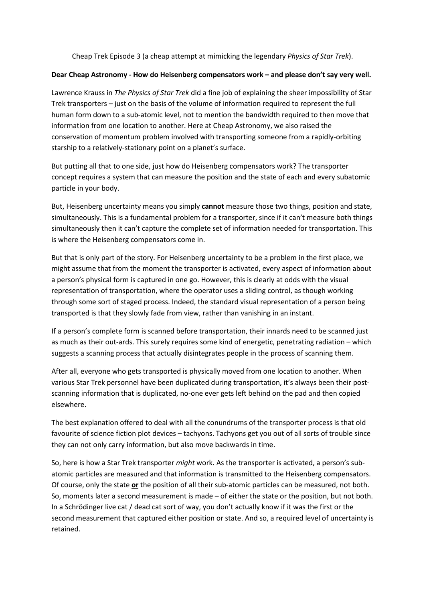Cheap Trek Episode 3 (a cheap attempt at mimicking the legendary *Physics of Star Trek*).

## **Dear Cheap Astronomy - How do Heisenberg compensators work – and please don't say very well.**

Lawrence Krauss in *The Physics of Star Trek* did a fine job of explaining the sheer impossibility of Star Trek transporters – just on the basis of the volume of information required to represent the full human form down to a sub-atomic level, not to mention the bandwidth required to then move that information from one location to another. Here at Cheap Astronomy, we also raised the conservation of momentum problem involved with transporting someone from a rapidly-orbiting starship to a relatively-stationary point on a planet's surface.

But putting all that to one side, just how do Heisenberg compensators work? The transporter concept requires a system that can measure the position and the state of each and every subatomic particle in your body.

But, Heisenberg uncertainty means you simply **cannot** measure those two things, position and state, simultaneously. This is a fundamental problem for a transporter, since if it can't measure both things simultaneously then it can't capture the complete set of information needed for transportation. This is where the Heisenberg compensators come in.

But that is only part of the story. For Heisenberg uncertainty to be a problem in the first place, we might assume that from the moment the transporter is activated, every aspect of information about a person's physical form is captured in one go. However, this is clearly at odds with the visual representation of transportation, where the operator uses a sliding control, as though working through some sort of staged process. Indeed, the standard visual representation of a person being transported is that they slowly fade from view, rather than vanishing in an instant.

If a person's complete form is scanned before transportation, their innards need to be scanned just as much as their out-ards. This surely requires some kind of energetic, penetrating radiation – which suggests a scanning process that actually disintegrates people in the process of scanning them.

After all, everyone who gets transported is physically moved from one location to another. When various Star Trek personnel have been duplicated during transportation, it's always been their postscanning information that is duplicated, no-one ever gets left behind on the pad and then copied elsewhere.

The best explanation offered to deal with all the conundrums of the transporter process is that old favourite of science fiction plot devices – tachyons. Tachyons get you out of all sorts of trouble since they can not only carry information, but also move backwards in time.

So, here is how a Star Trek transporter *might* work. As the transporter is activated, a person's subatomic particles are measured and that information is transmitted to the Heisenberg compensators. Of course, only the state **or** the position of all their sub-atomic particles can be measured, not both. So, moments later a second measurement is made – of either the state or the position, but not both. In a Schrödinger live cat / dead cat sort of way, you don't actually know if it was the first or the second measurement that captured either position or state. And so, a required level of uncertainty is retained.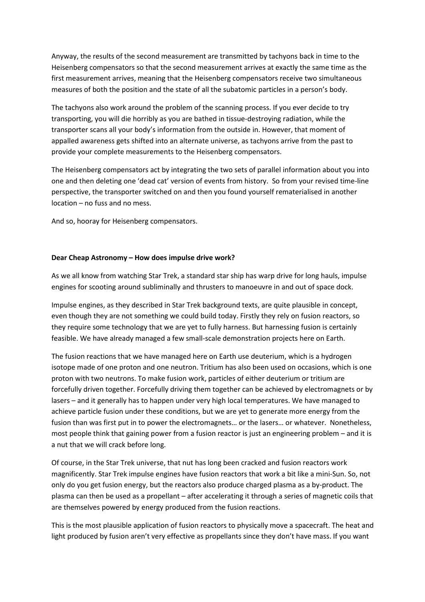Anyway, the results of the second measurement are transmitted by tachyons back in time to the Heisenberg compensators so that the second measurement arrives at exactly the same time as the first measurement arrives, meaning that the Heisenberg compensators receive two simultaneous measures of both the position and the state of all the subatomic particles in a person's body.

The tachyons also work around the problem of the scanning process. If you ever decide to try transporting, you will die horribly as you are bathed in tissue-destroying radiation, while the transporter scans all your body's information from the outside in. However, that moment of appalled awareness gets shifted into an alternate universe, as tachyons arrive from the past to provide your complete measurements to the Heisenberg compensators.

The Heisenberg compensators act by integrating the two sets of parallel information about you into one and then deleting one 'dead cat' version of events from history. So from your revised time-line perspective, the transporter switched on and then you found yourself rematerialised in another location – no fuss and no mess.

And so, hooray for Heisenberg compensators.

## **Dear Cheap Astronomy – How does impulse drive work?**

As we all know from watching Star Trek, a standard star ship has warp drive for long hauls, impulse engines for scooting around subliminally and thrusters to manoeuvre in and out of space dock.

Impulse engines, as they described in Star Trek background texts, are quite plausible in concept, even though they are not something we could build today. Firstly they rely on fusion reactors, so they require some technology that we are yet to fully harness. But harnessing fusion is certainly feasible. We have already managed a few small-scale demonstration projects here on Earth.

The fusion reactions that we have managed here on Earth use deuterium, which is a hydrogen isotope made of one proton and one neutron. Tritium has also been used on occasions, which is one proton with two neutrons. To make fusion work, particles of either deuterium or tritium are forcefully driven together. Forcefully driving them together can be achieved by electromagnets or by lasers – and it generally has to happen under very high local temperatures. We have managed to achieve particle fusion under these conditions, but we are yet to generate more energy from the fusion than was first put in to power the electromagnets… or the lasers… or whatever. Nonetheless, most people think that gaining power from a fusion reactor is just an engineering problem – and it is a nut that we will crack before long.

Of course, in the Star Trek universe, that nut has long been cracked and fusion reactors work magnificently. Star Trek impulse engines have fusion reactors that work a bit like a mini-Sun. So, not only do you get fusion energy, but the reactors also produce charged plasma as a by-product. The plasma can then be used as a propellant – after accelerating it through a series of magnetic coils that are themselves powered by energy produced from the fusion reactions.

This is the most plausible application of fusion reactors to physically move a spacecraft. The heat and light produced by fusion aren't very effective as propellants since they don't have mass. If you want